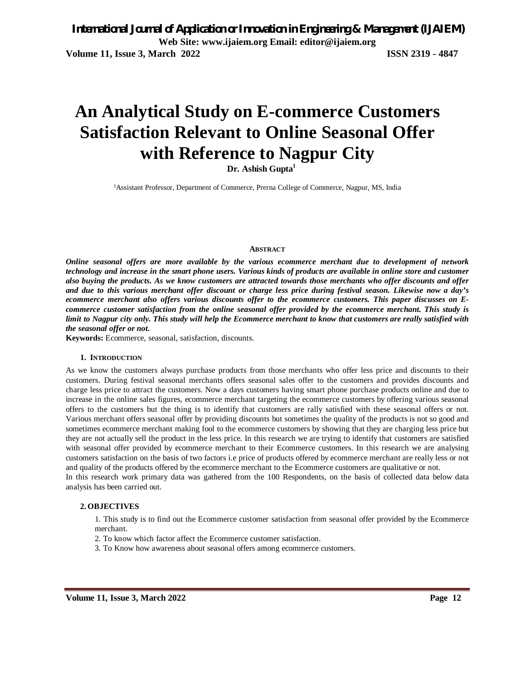# **An Analytical Study on E-commerce Customers Satisfaction Relevant to Online Seasonal Offer with Reference to Nagpur City**

**Dr. Ashish Gupta<sup>1</sup>**

1Assistant Professor, Department of Commerce, Prerna College of Commerce, Nagpur, MS, India

#### **ABSTRACT**

*Online seasonal offers are more available by the various ecommerce merchant due to development of network technology and increase in the smart phone users. Various kinds of products are available in online store and customer also buying the products. As we know customers are attracted towards those merchants who offer discounts and offer and due to this various merchant offer discount or charge less price during festival season. Likewise now a day's ecommerce merchant also offers various discounts offer to the ecommerce customers. This paper discusses on Ecommerce customer satisfaction from the online seasonal offer provided by the ecommerce merchant. This study is limit to Nagpur city only. This study will help the Ecommerce merchant to know that customers are really satisfied with the seasonal offer or not.* 

**Keywords:** Ecommerce, seasonal, satisfaction, discounts.

#### **1. INTRODUCTION**

As we know the customers always purchase products from those merchants who offer less price and discounts to their customers. During festival seasonal merchants offers seasonal sales offer to the customers and provides discounts and charge less price to attract the customers. Now a days customers having smart phone purchase products online and due to increase in the online sales figures, ecommerce merchant targeting the ecommerce customers by offering various seasonal offers to the customers but the thing is to identify that customers are rally satisfied with these seasonal offers or not. Various merchant offers seasonal offer by providing discounts but sometimes the quality of the products is not so good and sometimes ecommerce merchant making fool to the ecommerce customers by showing that they are charging less price but they are not actually sell the product in the less price. In this research we are trying to identify that customers are satisfied with seasonal offer provided by ecommerce merchant to their Ecommerce customers. In this research we are analysing customers satisfaction on the basis of two factors i.e price of products offered by ecommerce merchant are really less or not and quality of the products offered by the ecommerce merchant to the Ecommerce customers are qualitative or not. In this research work primary data was gathered from the 100 Respondents, on the basis of collected data below data analysis has been carried out.

#### **2. OBJECTIVES**

1. This study is to find out the Ecommerce customer satisfaction from seasonal offer provided by the Ecommerce merchant.

- 2. To know which factor affect the Ecommerce customer satisfaction.
- 3. To Know how awareness about seasonal offers among ecommerce customers.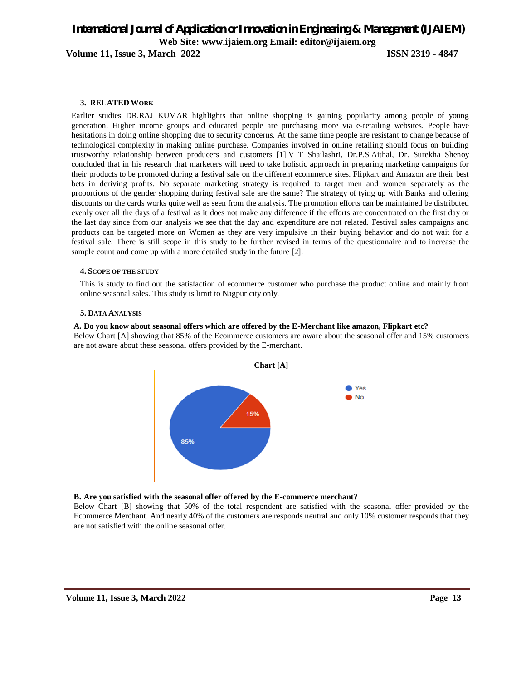# *International Journal of Application or Innovation in Engineering & Management (IJAIEM)* **Web Site: www.ijaiem.org Email: editor@ijaiem.org**

**Volume 11, Issue 3, March 2022 ISSN 2319 - 4847**

### **3. RELATEDWORK**

Earlier studies DR.RAJ KUMAR highlights that online shopping is gaining popularity among people of young generation. Higher income groups and educated people are purchasing more via e-retailing websites. People have hesitations in doing online shopping due to security concerns. At the same time people are resistant to change because of technological complexity in making online purchase. Companies involved in online retailing should focus on building trustworthy relationship between producers and customers [1].V T Shailashri, Dr.P.S.Aithal, Dr. Surekha Shenoy concluded that in his research that marketers will need to take holistic approach in preparing marketing campaigns for their products to be promoted during a festival sale on the different ecommerce sites. Flipkart and Amazon are their best bets in deriving profits. No separate marketing strategy is required to target men and women separately as the proportions of the gender shopping during festival sale are the same? The strategy of tying up with Banks and offering discounts on the cards works quite well as seen from the analysis. The promotion efforts can be maintained be distributed evenly over all the days of a festival as it does not make any difference if the efforts are concentrated on the first day or the last day since from our analysis we see that the day and expenditure are not related. Festival sales campaigns and products can be targeted more on Women as they are very impulsive in their buying behavior and do not wait for a festival sale. There is still scope in this study to be further revised in terms of the questionnaire and to increase the sample count and come up with a more detailed study in the future [2].

#### **4. SCOPE OF THE STUDY**

This is study to find out the satisfaction of ecommerce customer who purchase the product online and mainly from online seasonal sales. This study is limit to Nagpur city only.

#### **5. DATA ANALYSIS**

#### **A. Do you know about seasonal offers which are offered by the E-Merchant like amazon, Flipkart etc?**

Below Chart [A] showing that 85% of the Ecommerce customers are aware about the seasonal offer and 15% customers are not aware about these seasonal offers provided by the E-merchant.



#### **B. Are you satisfied with the seasonal offer offered by the E-commerce merchant?**

Below Chart [B] showing that 50% of the total respondent are satisfied with the seasonal offer provided by the Ecommerce Merchant. And nearly 40% of the customers are responds neutral and only 10% customer responds that they are not satisfied with the online seasonal offer.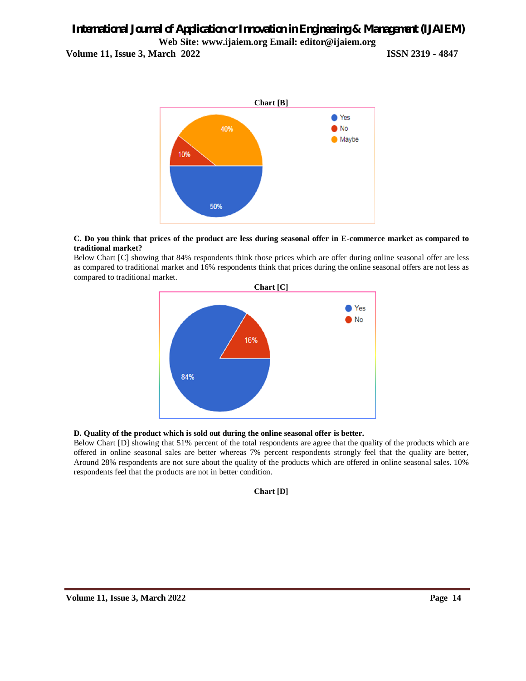# *International Journal of Application or Innovation in Engineering & Management (IJAIEM)* **Web Site: www.ijaiem.org Email: editor@ijaiem.org**

**Volume 11, Issue 3, March 2022 ISSN 2319 - 4847**



#### **C. Do you think that prices of the product are less during seasonal offer in E-commerce market as compared to traditional market?**

Below Chart [C] showing that 84% respondents think those prices which are offer during online seasonal offer are less as compared to traditional market and 16% respondents think that prices during the online seasonal offers are not less as compared to traditional market.



# **D. Quality of the product which is sold out during the online seasonal offer is better.**

Below Chart [D] showing that 51% percent of the total respondents are agree that the quality of the products which are offered in online seasonal sales are better whereas 7% percent respondents strongly feel that the quality are better, Around 28% respondents are not sure about the quality of the products which are offered in online seasonal sales. 10% respondents feel that the products are not in better condition.

**Chart [D]**